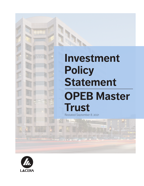# **Investment Policy Statement OPEB Master Trust** Restated September 8, 2021

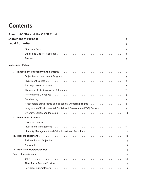# **Contents**

|    | <b>About LACERA and the OPEB Trust</b>                                                                                                                                                                                         | 1            |
|----|--------------------------------------------------------------------------------------------------------------------------------------------------------------------------------------------------------------------------------|--------------|
|    | <b>Statement of Purpose</b>                                                                                                                                                                                                    | $\mathbf{2}$ |
|    | <b>Legal Authority</b>                                                                                                                                                                                                         | 3            |
|    | Fiduciary Duty but we have also contained to contact the contract of the contract of the contract of the contract of the contract of the contract of the contract of the contract of the contract of the contract of the contr |              |
|    |                                                                                                                                                                                                                                |              |
|    |                                                                                                                                                                                                                                |              |
|    | <b>Investment Policy</b>                                                                                                                                                                                                       |              |
| L. | Investment Philosophy and Strategy enterpresent contained and the state of the state of the state of the state                                                                                                                 |              |
|    |                                                                                                                                                                                                                                |              |
|    |                                                                                                                                                                                                                                |              |
|    |                                                                                                                                                                                                                                |              |
|    |                                                                                                                                                                                                                                |              |
|    |                                                                                                                                                                                                                                |              |
|    |                                                                                                                                                                                                                                |              |
|    |                                                                                                                                                                                                                                |              |
|    | Integration of Environmental, Social, and Governance (ESG) Factors 9                                                                                                                                                           |              |
|    |                                                                                                                                                                                                                                |              |
| Ш. |                                                                                                                                                                                                                                |              |
|    |                                                                                                                                                                                                                                |              |
|    |                                                                                                                                                                                                                                |              |
|    |                                                                                                                                                                                                                                |              |
| Ш. |                                                                                                                                                                                                                                |              |
|    |                                                                                                                                                                                                                                |              |
|    |                                                                                                                                                                                                                                |              |
|    |                                                                                                                                                                                                                                |              |
|    |                                                                                                                                                                                                                                |              |
|    |                                                                                                                                                                                                                                |              |
|    |                                                                                                                                                                                                                                |              |
|    |                                                                                                                                                                                                                                |              |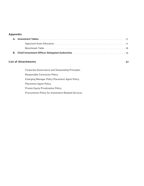### **Appendix**

| <b>B.</b> Chief Investment Officer Delegated Authorities <b>Election Activity Chief Investment Officer</b> Delegated Authorities <b>Fig. 2016</b> |
|---------------------------------------------------------------------------------------------------------------------------------------------------|

### **List of Attachments 21**

| <b>Corporate Governance and Stewardship Principles</b>    |
|-----------------------------------------------------------|
| <b>Responsible Contractor Policy</b>                      |
| <b>Emerging Manager Policy Placement Agent Policy</b>     |
| <b>Placement Agent Policy</b>                             |
| <b>Private Equity Privatization Policy</b>                |
| <b>Procurement Policy for Investment-Related Services</b> |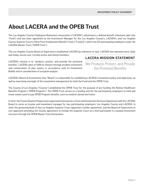# **About LACERA and the OPEB Trust**

The Los Angeles County Employees Retirement Association ("LACERA") administers a defined benefit retirement plan (the "Fund") and has been appointed as the Investment Manager for the Los Angeles County's, LACERA's, and Los Angeles County Superior Court's Other Post-Employment Benefit Trusts ("Trust[s]"), which are the participating employers under the LACERA Master Trust ("OPEB Trust").

The Los Angeles County Board of Supervisors established LACERA by ordinance in 1937. LACERA has operated since 1938, and today, serves over 170,000 active and retired members.

LACERA's mission is to "produce, protect, and provide the promised benefits." LACERA aims to fulfill its mission through prudent investment and conservation of plan assets, in accordance with its Investment Beliefs and in consideration of actuarial analysis.

### **LACERA MISSION STATEMENT**

We Produce, Protect, and Provide the Promised Benefits

LACERA's Board of Investments (the "Board") is responsible for establishing LACERA's investment policy and objectives, as well as exercising oversight of the investment management for both the Fund and the OPEB Trust.

The County of Los Angeles ("County") established the OPEB Trust for the purpose of pre-funding the Retiree Healthcare Benefits Program ("OPEB Program"). The OPEB Trust serves as a funding tool for the participating employers to hold and invest assets used to pay OPEB Program benefits, such as medical, dental and vision.

In 2012, the County Board of Supervisors approved entering into a Trust and Investment Services Agreement with the LACERA Board to serve as trustee and investment manager for two participating employers: Los Angeles County and LACERA. In 2016, the governing body of the Los Angeles Superior Court approved a similar agreement, and the Board of Supervisors in turn approved amending the County agreement to include the Superior Court as a third participant in a pooled investment structure through the OPEB Master Trust Declaration.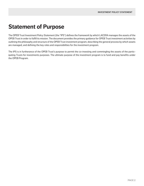# **Statement of Purpose**

The OPEB Trust Investment Policy Statement (the "IPS") defines the framework by which LACERA manages the assets of the OPEB Trust in order to fulfill its mission. The document provides the primary guidance for OPEB Trust investment activities by outlining the philosophy and structure of the OPEB Trust investment program, describing the general process by which assets are managed, and defining the key roles and responsibilities for the investment program.

The IPS is in furtherance of the OPEB Trust's purpose to permit the co-investing and commingling the assets of the participating Trusts for investments purposes. The ultimate purpose of the investment program is to fund and pay benefits under the OPEB Program.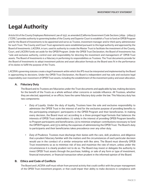## **Legal Authority**

Article 8.6 of the County Employees Retirement Law of 1937, as amended (California Government Code Sections 31694 - 31694.5) ("CERL") provides authority to governing bodies of the County and Superior Court to establish a Trust to fund an OPEB Program and for the Board of Investments to be appointed and serve as Trustee, investment manager and/or third-party administrator for such Trust. The County and Court Trust agreements were established pursuant to this legal authority and approved by the Board of Investments. LACERA, in turn, used its authority to create the Master Trust to facilitate the investment of the County, Court, and LACERA funds set aside for the OPEB Program. Under the OPEB Trust Declaration, the Board of Investments has "sole and exclusive authority, control over and responsibility for directing the investment and management of" OPEB Trust assets. The Board of Investments is a fiduciary in performing its responsibilities as Trustees. The Trust documents provide for the Board of Investments to adopt investment policies and asset allocation formula as the Board sees fit in the performance of its duties to fulfill the purpose of the Trusts.

LACERA's governing statutes create a legal framework within which this IPS must be interpreted and implemented by the Board in approaching its decisions. Under the OPEB Trust Declaration, the Board is independent and has sole and exclusive legal responsibility over investment of OPEB Trust assets, including the establishment of the investment policy and asset allocation.

#### **A. Fiduciary Duty**

The Board and its Trustees are fiduciaries under the Trust documents and applicable by law, making decisions for the benefit of the Trusts as a whole without other concerns or outside influence. All Trustees, whether they are elected, appointed, or ex officio, have the same fiduciary duty under the law. This fiduciary duty has two components:

- *• Duty of Loyalty*. Under the duty of loyalty, Trustees have the sole and exclusive responsibility to administer the OPEB Trust in the interest of and for the exclusive purpose of providing benefits to the participating employers' participants in the OPEB Program and their beneficiaries. In making every decision, the Board must act according to a three-pronged legal formula that balances the interests of OPEB Trust stakeholders: (1) solely in the interest of providing OPEB Program benefits to Program participants and beneficiaries, (2) to minimize employer contributions necessary to fund the OPEB Program, and (3) to defray the expenses of administering the OPEB Trust. The Board's duty to participants and their beneficiaries takes precedence over any other duty.
- *• Duty of Prudence.* Trustees must discharge their duties with the care, skill, prudence, and diligence that a prudent fiduciary familiar with the matters and the circumstances of each particular decision would use in the conduct of a similar enterprise with like aims. The Board must diversify OPEB Trust investments so as to minimize risk of loss and maximize the rate of return, unless under the circumstances it is clearly prudent not to do so. The Board may invest or delegate the authority to invest OPEB Trust assets through the purchase, holding, or sale of any form or type of investment, financial instrument, or financial transaction when prudent in the informed opinion of the Board.

#### **B. Ethics and Code of Conflicts**

The Board and LACERA staff must refrain from personal activity that could conflict with the proper management of the OPEB Trust investment program, or that could impair their ability to make decisions in compliance with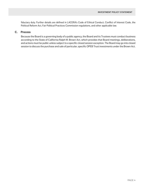fiduciary duty. Further details are defined in LACERA's Code of Ethical Conduct, Conflict of Interest Code, the Political Reform Act, Fair Political Practices Commission regulations, and other applicable law.

#### **C. Process**

Because the Board is a governing body of a public agency, the Board and its Trustees must conduct business according to the State of California Ralph M. Brown Act, which provides that Board meetings, deliberations, and actions must be public unless subject to a specific closed session exception. The Board may go into closed session to discuss the purchase and sale of particular, specific OPEB Trust investments under the Brown Act.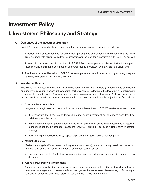# **Investment Policy**

### **I. Investment Philosophy and Strategy**

#### **A. Objectives of the Investment Program**

LACERA follows a carefully planned and executed strategic investment program in order to:

- **i. Produce** the promised benefits for OPEB Trust participants and beneficiaries by achieving the OPEB Trust assumed rate of return on a total return basis over the long-term, consistent with LACERA's mission;
- **ii. Protect** the promised benefits on behalf of OPEB Trust participants and beneficiaries by mitigating investment risks through diversification and other means, consistent with LACERA's mission; and
- **iii. Provide** the promised benefits for OPEB Trust participants and beneficiaries, in part by ensuring adequate liquidity, consistent with LACERA's mission.

#### **B. Investment Beliefs**

The Board has adopted the following investment beliefs ("Investment Beliefs") to describe its core beliefs and underlying assumptions about how capital markets operate. Collectively, the Investment Beliefs provide a framework to guide LACERA's investment decisions in a manner consistent with LACERA's nature as an institutional investor with a long-term investment horizon in order to achieve the objectives defined above.

#### **i. Strategic Asset Allocation**

Long-term strategic asset allocation will be the primary determinant of OPEB Trust risk/return outcomes.

- a. It is important that LACERA be forward looking, as its investment horizon spans decades, if not indefinitely into the future.
- b. Asset allocation has a greater effect on return variability than asset class investment structure or manager selection. It is essential to account for OPEB Trust liabilities in setting long-term investment strategy.
- c. Rebalancing the portfolio is a key aspect of prudent long-term asset allocation policy.

#### **ii. Market Efficiency**

Markets are largely efficient over the long term (10–20 years); however, during certain economic and financial environments markets may not be efficient in setting prices.

a. Consequently, LACERA will allow for modest tactical asset allocation adjustments during times of disruption.

#### **iii. Active Versus Passive Management**

As markets are largely efficient, passive management, when available, is the preferred structure for investment management; however, the Board recognizes that some asset classes may justify the higher fees and/or expected enhanced returns associated with active management.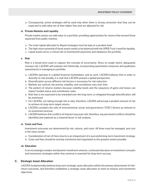a. Consequently, active strategies will be used only when there is strong conviction that they can be expected to add value net of their higher fees and are adjusted for risk.

#### **iv. Private Markets and Liquidity**

Private market assets can add value to a portfolio, providing opportunities for returns that exceed those expected from public markets.

- a. The total capital allocated to illiquid strategies must be kept at a prudent level.
- b. The high return potential of these assets needs to be balanced with the OPEB Trust's need for liquidity.
- c. Liquid assets serve a critical role to fund benefit payments and rebalance the portfolio.

#### **v. Risk**

Risk is a broad term used to capture the concept of uncertainty. Since no single metric adequately conveys risk, LACERA will evaluate risk holistically, incorporating quantitative measures and qualitative assessments in managing its portfolio.

- a. LACERA operates in a global financial marketplace, and as such, LACERA believes that in order to diversify its risk broadly, it is vital that LACERA possess a global perspective.
- b. Diversification across different risk factors is necessary for risk reduction.
- c. Markets are cyclical; risk premia, volatility, and correlations vary over time.
- d. The pattern of returns matters because volatility levels and the sequence of gains and losses can impact funded status and contribution rates.
- e. Risk that is not expected to be rewarded over the long-term, or mitigated through diversification, will be minimized.
- f. For LACERA, not taking enough risk is risky; therefore, LACERA will accept a prudent amount of risk to achieve its long-term target returns.
- g. LACERA considers the risks of environmental, social, and governance ("ESG") factors as relevant to its investment process.
- h. LACERA believes that conflicts of interest may pose risk; therefore, any perceived conflicts should be identified and explored as a material factor in risk analysis.

#### **vi. Costs and Fees**

Investment outcomes are determined by risk, returns, and costs. All three must be managed, and cost is the most certain.

- a. Consideration of net-of-fees returns is an integral part of a successful long-term investment strategy.
- b. Costs and fees should be actively monitored and negotiated to the greatest extent possible.

#### **vii. Education**

In an increasingly complex and dynamic investment universe, continued education on investment concepts and investment strategies within that universe is essential for long-term success.

#### **C. Strategic Asset Allocation**

LACERA fundamentally believes long-term strategic asset allocation will be the primary determinant of risk/ return outcomes, and therefore establishes a strategic asset allocation to meet its mission and investment objectives.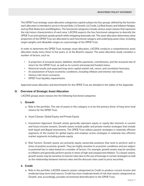The OPEB Trust strategic asset allocation categorizes capital outlays into four groups, defined by the function each allocation is intended to serve in the portfolio: (1) Growth, (2) Credit, (3) Real Assets and Inflation Hedges, and (4) Risk Reduction and Mitigation. The functional categories include various asset classes that represent the risk/return characteristics of each area. LACERA expects the four functional categories to diversify the OPEB Trust and optimize upside growth while mitigating downside risk. The asset allocation determines what proportion of the OPEB Trust are allocated to each functional category and underlying asset class, including target weights and allowable ranges as a percentage of the OPEB Trust.

In order to determine the OPEB Trust strategic asset allocation, LACERA conducts a comprehensive asset allocation study every three to five years, or at the Board's request. The asset allocation study considers a number of factors, such as:

- A projection of actuarial assets, liabilities, benefits payments, contributions, and the actuarial rate of return for the OPEB Trust, as well as its current and projected funded status.
- Historical results and expected long-term capital market risk, return, and correlation forecasts.
- An assessment of future economic conditions, including inflation and interest rate levels.
- Various risk/return scenarios.
- OPEB Trust liquidity requirements.

Approved asset allocation and benchmarks for the OPEB Trust are detailed in the tables of the Appendix.

#### **D. Overview of Strategic Asset Allocation**

LACERA groups asset classes into the following functional categories:

#### **i. Growth**

- a. Role in the portfolio: The role of assets in this category is to be the primary driver of long-term total returns for the OPEB Trust.
- b. Asset Classes: Global Equity and Private Equity.
- c. Investment Approach: Growth assets generally represent equity or equity-like interests in current and future income streams. Growth assets include public and private market strategies that include both liquid and illiquid investments. The OPEB Trust utilizes passive strategies in relatively efficient segments of the market for global equity and employs active strategies in relatively less efficient market segments including private equity.
- d. Risk Factors: Growth assets are primarily equity ownership positions that tend to perform well in times of positive economic growth. They are highly sensitive to economic conditions and are subject to potential loss in value based on a number of factors. For example, growth assets may be sensitive to inflation and generally perform poorly in times of high and unexpected inflation. To a lesser extent, growth assets may be sensitive to interest rates due to the use of leverage in certain strategies as well as the relationship between interest rates and the discount rates used to price securities.

#### **ii. Credit**

a. Role in the portfolio: LACERA expects assets categorized as Credit to produce current income and moderate long-term total returns. Credit has more moderate levels of risk than assets categorized as Growth, and, accordingly, provides incremental diversification to the OPEB Trust.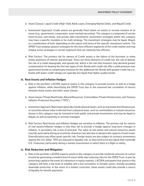- b. Asset Classes: Liquid Credit (High Yield, Bank Loans, Emerging Market Debt), and Illiquid Credit.
- c. Investment Approach: Credit assets are generally fixed claims on assets or income streams of an issuer (e.g., government, corporation, asset-backed securities). The category is composed of certain fixed income, real estate, and private debt investments. Investment strategies within this category may have a specific mandate or be multi-strategy. The investment strategies may be liquid, illiquid, or a combination of both, depending on the nature and terms of the specific investment vehicle. The OPEB Trust employs passive strategies for the more efficient segments of the credit market and may employ active strategies in certain segments that are relatively less efficient.
- d. Risk Factors: The primary risk for owners of Credit assets is the failure of the borrower to make timely payments of interest and principal. There are three elements of credit risk: the risk of default, the risk of a credit downgrade, and spread risk, which is the risk that investors may demand greater compensation for bearing the first two types of risk. Bonds with credit risk offer a yield premium over government bonds to compensate investors for the additional risk. Bonds with greater credit risk (i.e., bonds with lower credit ratings) are typically less liquid than higher quality bonds.

#### **iii. Real Assets and Inflation Hedges**

- a. Role in the portfolio: LACERA expects assets in this category to provide income as well as a hedge against inflation, while diversifying the OPEB Trust due to the assumed low correlation of returns between these assets and other asset classes.
- b. Asset classes: Private Real Estate, Natural Resources, Commodities, Private Infrastructure, and Treasury Inflation-Protected Securities ("TIPS").
- c. Investment Approach: Real Assets generally include physical assets, such as real estate and infrastructure, or securities whose value is derived from a physical asset, such as commodities or natural resources. Assets in this category may be invested in both public and private investments and may be liquid or illiquid, as well as passively or actively managed.
- d. Risk Factors: Real Assets and Inflation Hedges are sensitive to inflation. The primary risk for owners of real assets/inflation hedges is that they fail to provide a hedge against long-term changes in inflation. A secondary risk is loss of principal. The value of real estate and natural resources assets may fall, particularly during an economic downturn, but also due to idiosyncratic aspects of each asset. Diversification may offset asset-specific risk. Foreign assets are also subject to currency movements against the U.S. dollar. TIPS are exposed to liquidity risk, as they tend to be less liquid than nominally U.S. Treasuries, particularly during a market environment in which there is a flight to safety.

#### **iv. Risk Reduction and Mitigation**

a. Role in the portfolio: LACERA expects assets in this category to provide moderate amounts of current income by generating a modest level of return while also reducing risks for the OPEB Trust, in part by preserving capital in the event of a downturn in equity markets. LACERA anticipates that assets in this category will have a low level of volatility and a low correlation to Growth assets, thereby providing downside protection. In the event of a market correction, these assets could also provide a source of liquidity for benefit payments.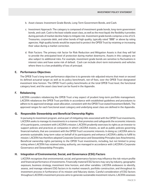- b. Asset classes: Investment Grade Bonds, Long-Term Government Bonds, and Cash.
- c. Investment Approach: The category is composed of investment grade bonds, long-term government bonds, and cash. Cash is the least volatile asset class, as well as the most liquid; the flexibility it provides during periods of market decline helps to mitigate risk. Investment grade bonds comprise a mix of U.S. Treasuries, corporate debt, and other bonds of high quality, typically rated "BBB" or above by rating agencies. High quality bonds would be expected to protect the OPEB Trust by retaining or increasing their value during a market correction.
- d. Risk Factors: The primary risk factor for Risk Reduction and Mitigation Assets is that they will fail to provide the anticipated level of protection during market downturns. Assets in this category are also subject to additional risks. For example, investment grade bonds are sensitive to fluctuations in interest rates and have some risk of default. Cash can include short-term instruments and vehicles where there is a low probability of loss of principal.

#### **E. Performance Objectives**

The OPEB Trust's long-term performance objective is to generate risk-adjusted returns that meet or exceed its defined actuarial target as well as its policy benchmark, net-of-fees, over the OPEB Trust designated investment time horizon. The OPEB Trust's policy benchmarks at the total OPEB Trust level, the functional category level, and the asset class level can be found in the Appendix.

#### **F. Rebalancing**

LACERA considers rebalancing the OPEB Trust a key aspect of prudent long-term portfolio management. LACERA rebalances the OPEB Trust portfolio in accordance with established guidelines and procedures to adhere to its approved strategic asset allocation, consistent with the OPEB Trust stated Investment Beliefs. The approved ranges for each functional asset category and underlying asset class are defined in the Appendix.

#### **G. Responsible Stewardship and Beneficial Ownership Rights**

In pursuing its investment program, and as part of mitigating risks associated with the OPEB Trust investments, LACERA seeks to manage its investments in a manner that promotes and safeguards the economic interests of its participants, consistent with LACERA's mission. LACERA prudently exercises its rights as an investor to support policies and practices at companies in which LACERA invests, as well as public policies governing financial markets, that are consistent with the OPEB Trust's economic interests. In doing so, LACERA aims to promote sustainable, long-term value on behalf of its participants and enhance LACERA's ability to fulfill its mission. LACERA has therefore adopted Corporate Governance and Stewardship Principles (see Attachments). Beneficial ownership rights pertaining to the OPEB Trust investments, including, but not limited to proxy voting where LACERA has retained voting authority, are managed in accordance with LACERA's Corporate Governance and Stewardship Principles.

#### **H. Integration of Environmental, Social, and Governance (ESG) Factors**

LACERA recognizes that environmental, social, and governance factors may influence the risk-return profile and financial performance of investments. Financially material ESG factors may vary by industry, geographic exposure, business strategy, investment time horizon, and other variables. LACERA endeavors to identify, assess, and manage relevant ESG factors in its market research, portfolio construction, and throughout its investment process in furtherance of its mission and fiduciary duties. Careful consideration of ESG factors throughout LACERA's investment process aims to generate sustainable investment returns. LACERA assesses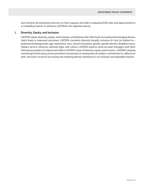and monitors all investment partners on their capacity and skill in evaluating ESG risks and opportunities in a compelling manner to enhance LACERA's risk-adjusted returns.

#### **I. Diversity, Equity, and Inclusion**

LACERA values diversity, equity, and inclusion, and believes that effectively accessing and managing diverse talent leads to improved outcomes. LACERA considers diversity broadly, inclusive of—but not limited to professional backgrounds, age, experience, race, sexual orientation, gender, gender identity, disability status, military service, ethnicity, national origin, and culture. LACERA expects external asset managers and other third-party providers to respect and reflect LACERA's value of diversity, equity, and inclusion. LACERA's ongoing monitoring of third-party service providers incorporates an assessment of vendors' commitment to, adherence with, and track record of accessing and retaining diverse workforces in an inclusive and equitable manner.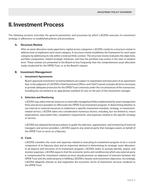### **II. Investment Process**

The following sections articulate the general parameters and processes by which LACERA executes its investment strategy, in adherence to established policies and procedures.

#### **A. Structure Review**

After an asset allocation study apportions capital across categories, LACERA conducts a structure review to address how to implement each asset category. A structure review establishes the framework for each asset category by addressing its role within a total portfolio context. The structure review evaluates the objectives, portfolio composition, related strategic initiatives, and how the portfolio may evolve in the near to medium term. These reviews are presented to the Board no less frequently than the comprehensive asset allocation study conducted for the OPEB Trust, or at the Board's request.

#### **B. Investment Management**

#### **i. Investment Agreements**

Board-approved investment recommendations are subject to negotiation and execution of an agreement that, in the judgment of LACERA's Chief Investment Officer and Chief Counsel, includes all terms necessary to provide adequate protection for the OPEB Trust's interests under the circumstances of the transaction, including but not limited to an appropriate standard of care on the part of the investment manager.

#### **ii. Selection and Monitoring**

LACERA may utilize internal resources or externally managed portfolios implemented by asset management firms and service providers to effectuate the OPEB Trust investment program. In determining whether to use internal or external resources to implement a specific investment mandate, strategy, or investmentrelated service, LACERA takes into consideration numerous factors, including, but not limited to, return expectations, associated risks, compliance requirements, and expenses related to the specific strategy or service.

LACERA has adopted formal procedures to guide the selection, appointment, and monitoring of external managers and service providers. LACERA expects any external party that manages assets on behalf of the OPEB Trust to serve as a fiduciary

#### **iii. Costs**

LACERA considers the costs and expenses related to executing its investment program to be a crucial component of its fiduciary duty and an important element in determining its strategic asset allocation. In all aspects and functions of its investment program, LACERA seeks to actively identify, assess, and monitor expenses. LACERA expects that the economic terms and conditions by which any external party is compensated for investment-related services should promote an alignment of interests between the OPEB Trust and the external party in fulfilling LACERA's mission and investment objectives. Accordingly, LACERA diligently attends to and negotiates the economic terms of investment services rendered to the OPEB Trust.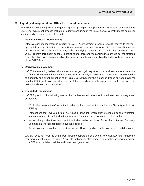#### **C. Liquidity Management and Other Investment Functions**

The following sections provide the general guiding principles and parameters for certain components of LACERA's investment process, including liquidity management, the use of derivative instruments, securities lending, and certain prohibited transactions.

#### **i. Liquidity and Cash Management**

Effective cash management is integral to LACERA's investment process. LACERA strives to maintain appropriate levels of liquidity—i.e., the ability to convert investments into cash—in order to meet immediate or short-term obligations and liabilities, such as satisfying a request by a participating employer to fund OPEB Program participant benefits, meeting capital calls, and rebalancing the portfolio per the strategic asset allocation. LACERA manages liquidity by monitoring the aggregate liquidity and liquidity risk exposures of the OPEB Trust.

#### **ii. Derivatives Management**

LACERA may employ derivative instruments to hedge or gain exposure to certain investments. A derivative is a financial instrument that derives its value from an underlying asset which represents direct ownership of a security or a direct obligation of an issuer. Derivatives may be exchange-traded or traded over the counter (OTC). LACERA expects that any use of derivatives by external managers must adhere to LACERA's policies and investment guidelines.

#### **iii. Prohibited Transactions**

LACERA prohibits the following transactions unless stated otherwise in the investment management agreement:

- "Prohibited transactions" as defined under the Employee Retirement Income Security Act of 1974 (ERISA)
- Transactions that involve a broker acting as a "principal," where such broker is also the investment manager (or an entity related to the investment manager) who is making the transaction
- Any or all applicable investment activities forbidden by the United States Securities and Exchange Commission or other applicable governing bodies
- Any acts or omissions that violate state and local laws regarding conflicts of interest and disclosures

LACERA does not lever the OPEB Trust investment portfolio as a whole. However, leverage is implicit in many investment strategies. LACERA expects that any use of leverage by external managers must adhere to LACERA's established policies and investment guidelines.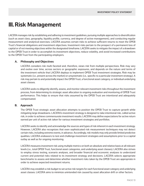### **III. Risk Management**

LACERA manages risk by establishing and adhering to investment guidelines, pursuing multiple approaches to diversification (such as asset class, geography, liquidity profile, currency, and degree of active management), and conducting regular measurement and analytical exercises. LACERA assumes certain risks to achieve sufficient returns to meet the OPEB Trust's financial obligations and investment objectives. Investment risks pertain to the prospect of a permanent loss of capital or of not meeting objectives within the designated timeframe. LACERA seeks to mitigate the impact of a drawdown to the OPEB Trust in order to accomplish its investment objectives, reduce volatility, and avoid increased contributions to the OPEB Trust from the participating employers.

#### **A. Philosophy and Objectives**

LACERA considers risk multi-faceted and, therefore, views risk from multiple perspectives. Risk may vary and evolve over time, across sectors or geographic exposures, and depends on the nature and terms of the investment vehicle that LACERA deploys to implement OPEB Trust investment strategies. Risk may be systematic (i.e., present across the market) or unsystematic (i.e., specific to a particular investment strategy). A risk may pertain to and potentially impact the OPEB Trust, a functional asset category, or individual underlying asset classes.

LACERA seeks to diligently identify, assess, and monitor relevant investment risks throughout the investment process, from determining its strategic asset allocation to ongoing evaluation and monitoring of OPEB Trust performance. This helps to ensure that risks assumed by the OPEB Trust are intentional and adequately compensated.

#### **B. Approach**

The OPEB Trust strategic asset allocation attempts to position the OPEB Trust to capture growth while mitigating large drawdowns. LACERA's investment strategy is designed to take intentional risk, called active risk, in order to achieve commensurate investment results. LACERA may define expectations for active return earned per unit of active risk taken for various investment strategies and portfolios.

LACERA seeks to identify and acknowledge the sources and types of risk inherent in each investment strategy. However, LACERA also recognizes that even sophisticated risk measurement techniques may not detect certain risks, including extreme events, in advance. Accordingly, risk models may only provide limited predictive qualities. LACERA endeavors to test and challenge investment strategies and assumptions prior to a capital outlay as well as for ongoing monitoring.

LACERA measures investment risk using multiple metrics on both an absolute and relative basis at all relevant levels (i.e., total OPEB Trust, functional asset categories, and underlying asset classes). LACERA also strives to employ stress testing, scenario analyses, and broader financial and economic analyses to understand current and potential risks related to its investment strategy and decisions. LACERA selects appropriate benchmarks to assess and determine whether investment risks taken by the OPEB Trust are appropriate in order to achieve expected investment returns.

LACERA may establish a risk budget to set active risk targets for each functional asset category and underlying asset classes. LACERA aims to minimize unintended risk caused by asset allocation drift or other factors.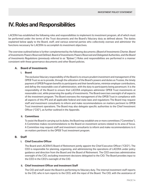### **IV. Roles and Responsibilities**

LACERA has established the following roles and responsibilities to implement its investment program, all of which must be performed under the terms of the Trust documents and the Board's fiduciary duty as defined above. The duties explained below apply to the Board, staff, and various external parties who collectively oversee and administer the functions necessary for LACERA to accomplish its investment objectives.

The overview outlined below is further complemented by the following documents: *(Board of Investments Charter, Board of Investments Powers Reserved Defined, Board of Investments Powers Reserved and Delegated Authorities, and the Board of Investments Regulations (previously referred to as "Bylaws".)* Roles and responsibilities are performed in a manner consistent with these governance documents and other Board policies.

#### **A. Board of Investments**

#### **i. Board**

The exclusive fiduciary responsibility of the Board is to ensure prudent investment and management of the OPEB Trust so as to provide, through the utilization of the Board's powers and duties as Trustee, the timely payment of OPEB Program benefits to participants and their beneficiaries, minimize employer contributions, and defray the reasonable cost of administration, with the duty to participants being paramount. It is the responsibility of the Board to ensure that LACERA employees administer OPEB Trust investments at reasonable cost, while preserving the quality of investments. The Board exercises oversight of all aspects of the investment program. The Board oversees the management of the OPEB Trust in compliance with all aspects of this IPS and all applicable federal and state laws and regulations The Board may request staff and investment consultants to inform and make recommendations on matters pertinent to OPEB Trust investment operations. The Board may also delegate specific authorities to the Chief Investment Officer ("CIO"), as further outlined in the Appendix.

#### **ii. Committees**

To assist the Board in carrying out its duties, the Board may establish one or more committees ("Committee"). A Committee makes recommendations to the Board on investment actions related to its area of focus. A Committee may request staff and investment consultants to inform and make recommendations to it on matters pertinent to the OPEB Trust investment program.

#### **B. Staff**

#### **i. Chief Executive Officer**

The Board and LACERA'S Board of Retirement jointly appoint the Chief Executive Officer ("CEO"). The CEO is responsible for planning, organizing, and administering the operations of LACERA under policy guidance and direction from the Board and the Board of Retirement. The CEO exercises administrative oversight of the CIO, excluding investment decisions delegated to the CIO. The Board provides input to the CEO in the CEO's oversight of the CIO.

#### **ii. Chief Investment Officer and Investment Staff**

The CIO and staff assist the Board in performing its fiduciary duty. The internal investment staff reports to the CIO, who in turn reports to the CEO, with the input of the Board. The CIO, with the assistance of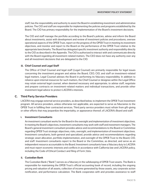staff, has the responsibility and authority to assist the Board in establishing investment and administrative policies. The CIO and staff are responsible for implementing the policies and programs established by the Board. The CIO has primary responsibility for the implementation of the Board's investment decisions.

The CIO and staff manage the portfolio according to the Board's policies, advise and inform the Board about investments, assist with development and review of investment policies and procedures, oversee operational aspects of the OPEB Trust, report on the progress of the OPEB Trust in meeting its investment objectives, and monitor and report to the Board on the performance of the OPEB Trust relative to the appropriate benchmarks. The Board has delegated specific investment authority and responsibility directly to the CIO as described in the Appendix. The CIO is authorized to interact with and communicate directly with the Board regarding all investment-related matters. The CEO does not have any authority over any and all investment decisions that are delegated to the CIO.

#### **iii. Chief Counsel and Legal Staff**

The Office of Chief Counsel and legal staff (Legal Counsel) are primarily responsible for legal issues concerning the investment program and advise the Board, CEO, CIO, and staff on investment-related legal matters. Legal Counsel advises the Board in performing its fiduciary responsibility. In addition to reliance upon internal resources for such matters, the Chief Counsel or designee within the Legal Office may retain external legal counsel, when deemed necessary and appropriate, to advise staff, negotiate and prepare contracts on investment-related matters and individual transactions, and provide other investment legal advice to protect LACERA's interests.

#### **C. Third Party Service Providers**

LACERA may engage external service providers, as described below, to implement the OPEB Trust investment program. All service providers, unless otherwise not applicable, are expected to serve as fiduciaries to the OPEB Trust in fulfilling their contracted services. Third party service providers must refrain from gift-giving or other efforts that may jeopardize the impartiality, or appearance thereof, of LACERA's Board and staff.

#### **i. Investment Consultants**

An investment consultant works for the Board in the oversight and implementation of investment objectives. In meeting the Board's objectives, investment consultants may work with staff and investment managers. The Board's general investment consultant provides advice and recommendations to the Board or Committee regarding OPEB Trust strategic objectives, risks, oversight, and implementation of investment objectives. Investment consultants, both general and specialized, provide advice and recommendations regarding strategic asset allocation, portfolio implementation, and oversight of the OPEB Trust to the Board, CIO, and staff. Investment consultants report to the Board or the Committee, as directed, and serve as an independent resource accountable to the Board. Investment consultants have a fiduciary duty to LACERA and must report economic interests and conflicts in accordance with California law and LACERA policy, including the Code of Ethical Conduct and filing of Form 700s.

#### **ii. Custodian Bank**

The Custodian Bank ("Bank") serves as a fiduciary in the safekeeping of OPEB Trust assets. The Bank is responsible for maintaining the OPEB Trust's official accounting book of record, including the ongoing pricing and valuation of all assets, collection of income generated by those assets, any corporate action notification, and performance calculation. The Bank cooperates with and provides assistance to staff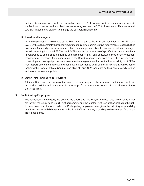and investment managers in the reconciliation process. LACERA may opt to designate other duties to the Bank as stipulated in the professional services agreement. LACERA's investment office works with LACERA's accounting division to manage the custodial relationship.

#### **iii. Investment Managers**

Investment managers are selected by the Board and, subject to the terms and conditions of this IPS, serve LACERA through contracts that specify investment guidelines, administrative requirements, responsibilities, investment fees, and performance expectations for management of each mandate. Investment managers provide reporting for the OPEB Trust to LACERA on the performance of specific investment mandates in adherence to established guidelines and agreements. Staff and consultants synthesize investment managers' performance for presentation to the Board in accordance with established performance monitoring and oversight procedures. Investment managers should accept a fiduciary duty to LACERA, must report economic interests and conflicts in accordance with California law and LACERA policy, including the Code of Ethical Conduct and filing of Form 700s, and enforce their own diversity, ethics, and sexual harassment policies.

#### **iv. Other Third Party Service Providers**

Additional third-party service providers may be retained, subject to the terms and conditions of LACERA's established policies and procedures, in order to perform other duties to assist in the administration of the OPEB Trust.

#### **D. Participating Employers**

The Participating Employers, the County, the Court, and LACERA, have those roles and responsibilities set forth in the County and Court Trust agreements and the Master Trust Declaration, including the right to determine contributions made. The Participating Employers have given the fiduciary responsibility over investments and disbursements to the Board of Investments, according to the terms set forth in the Trust documents.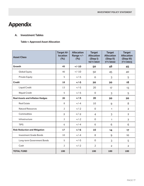# **Appendix**

### **A. Investment Tables**

#### **Table 1: Approved Asset Allocation**

| <b>Asset Class</b>                      | <b>Target Al-</b><br><b>location</b><br>(%) | <b>Allocation</b><br>Range +/-<br>(%) | <b>Target</b><br><b>Allocation</b><br>(Step I)<br>10/1/2021 | <b>Target</b><br><b>Allocation</b><br>(Step II)<br>7/1/2022 | <b>Target</b><br><b>Allocation</b><br>(Step III)<br>7/1/2023 |
|-----------------------------------------|---------------------------------------------|---------------------------------------|-------------------------------------------------------------|-------------------------------------------------------------|--------------------------------------------------------------|
| <b>Growth</b>                           | 45                                          | $+/-10$                               | 50                                                          | 48                                                          | 45                                                           |
| <b>Global Equity</b>                    | 40                                          | $+/-10$                               | 50                                                          | 45                                                          | 40                                                           |
| <b>Private Equity</b>                   | 5                                           | $+/-5$                                | $\Omega$                                                    | 3                                                           | 5                                                            |
| <b>Credit</b>                           | 18                                          | $+/-5$                                | 20                                                          | 20                                                          | 18                                                           |
| <b>Liquid Credit</b>                    | 13                                          | $+/-5$                                | 20                                                          | 17                                                          | 13                                                           |
| <b>Illiquid Credit</b>                  | 5                                           | $+/-5$                                | $\overline{0}$                                              | 3                                                           | 5                                                            |
| <b>Real Assets and Inflation Hedges</b> | 20                                          | $+/-5$                                | 20                                                          | 20                                                          | 20                                                           |
| <b>Real Estate</b>                      | 8                                           | $+/-4$                                | 10                                                          | 9                                                           | 8                                                            |
| <b>Natural Resources</b>                | $\overline{2}$                              | $+/-2$                                | $\mathbf 0$                                                 | 1                                                           | $\overline{2}$                                               |
| Commodities                             | $\overline{2}$                              | $+/-2$                                | $\overline{4}$                                              | 3                                                           | $\overline{2}$                                               |
| Infrastructure                          | $\overline{2}$                              | $+/-2$                                | $\mathbf 0$                                                 | 1                                                           | $\overline{2}$                                               |
| <b>TIPS</b>                             | $6\phantom{1}$                              | $+/-4$                                | $6\phantom{1}6$                                             | 6                                                           | $6\phantom{1}6$                                              |
| <b>Risk Reduction and Mitigation</b>    | 17                                          | $+/-6$                                | 10                                                          | 14                                                          | 17                                                           |
| <b>Investment Grade Bonds</b>           | 10                                          | $+/-4$                                | 8                                                           | 9                                                           | 10 <sub>o</sub>                                              |
| Long-term Government Bonds              | 5                                           | $+/-5$                                | $\mathbf 0$                                                 | 3                                                           | 5                                                            |
| Cash                                    | 2                                           | $+/-2$                                | $\overline{2}$                                              | $\overline{2}$                                              | $\overline{2}$                                               |
| <b>TOTAL FUND</b>                       | 100                                         |                                       | 100                                                         | 100                                                         | 100                                                          |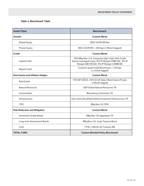#### **Table 2: Benchmark Table**

| <b>Asset Class</b>                      | <b>Benchmark</b>                                                                                                                                     |  |  |
|-----------------------------------------|------------------------------------------------------------------------------------------------------------------------------------------------------|--|--|
| <b>Growth</b>                           | <b>Custom Blend</b>                                                                                                                                  |  |  |
| <b>Global Equity</b>                    | <b>MSCI ACWI IMI Net</b>                                                                                                                             |  |  |
| <b>Private Equity</b>                   | MSCI ACWI IMI + 200 bps (3-Month lagged)                                                                                                             |  |  |
| <b>Credit</b>                           | <b>Custom Blend</b>                                                                                                                                  |  |  |
| <b>Liquid Credit</b>                    | 38% BBg Barc U.S. Corporate High Yield; 46% Credit<br>Suisse Leveraged Loans; 8% JP Morgan EMBI GD; 4% JP<br>Morgan GBI-EM GD; 4% JP Morgan CEMBI BD |  |  |
| <b>Illiquid Credit</b>                  | Custom Liquid Credit Benchmark + 150 bps<br>(1-month lagged)                                                                                         |  |  |
| <b>Real Assets and Inflation Hedges</b> | <b>Custom Blend</b>                                                                                                                                  |  |  |
| <b>Real Estate</b>                      | 75% NFI ODCE; 25% DJ US Select Real Estate (Private<br>3-Month lagged)                                                                               |  |  |
| <b>Natural Resources</b>                | <b>S&amp;P Global Natural Resources TR</b>                                                                                                           |  |  |
| Commodities                             | <b>Bloomberg Commodity TR</b>                                                                                                                        |  |  |
| Infrastructure                          | Dow Jones Brookfield Global Composite Infrastructure TR                                                                                              |  |  |
| <b>TIPS</b>                             | <b>BBg Barc US TIPS</b>                                                                                                                              |  |  |
| <b>Risk Reduction and Mitigation</b>    | <b>Custom Blend</b>                                                                                                                                  |  |  |
| <b>Investment Grade Bonds</b>           | <b>BBg Barc US Aggregate TR</b>                                                                                                                      |  |  |
| Long-term Government Bonds              | BBg Barc U.S. Long Treasury Bond                                                                                                                     |  |  |
| Cash                                    | FTSE 3-Month US Treasury Bill                                                                                                                        |  |  |
| <b>TOTAL FUND</b>                       | <b>Custom Blended Policy Benchmark</b>                                                                                                               |  |  |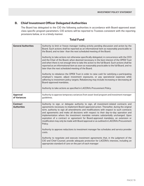### **B. Chief Investment Officer Delegated Authorities**

The Board has delegated to the CIO the following authorities in accordance with Board-approved asset class specific program parameters. CIO actions will be reported to Trustees consistent with the reporting provisions below, or in a timely manner.

### **Total Fund**

| <b>General Authorities</b>            | Authority to limit or freeze manager trading activity pending discussion and action by the<br>Board. Such actions shall be reported as an informational item as reasonably practicable to<br>the Board, and no later than the next scheduled meeting of the Board.<br>Authority to take actions not otherwise specifically delegated, in concurrence with the CEO<br>and the Chair of the Board, when deemed necessary in the best interest of the OPEB Trust<br>and when there is not enough time to take the action to the full Board. Such actions shall be<br>reported as an informational item as soon as reasonably practicable to the full Board, and no<br>later than the next scheduled meeting of the Board.<br>Authority to rebalance the OPEB Trust in order to raise cash for satisfying a participating<br>employer's request, adjust investment exposures, or pay operational expenses while<br>adhering to investment policy targets. Rebalancing may include increasing or decreasing all<br>Board-approved mandates.<br>Authority to take actions as specified in LACERA's Procurement Policy. |
|---------------------------------------|------------------------------------------------------------------------------------------------------------------------------------------------------------------------------------------------------------------------------------------------------------------------------------------------------------------------------------------------------------------------------------------------------------------------------------------------------------------------------------------------------------------------------------------------------------------------------------------------------------------------------------------------------------------------------------------------------------------------------------------------------------------------------------------------------------------------------------------------------------------------------------------------------------------------------------------------------------------------------------------------------------------------------------------------------------------------------------------------------------------|
| <b>Approval</b><br>of Variances       | Authority to approve temporary variances from asset-level program and investment manager<br>guidelines.                                                                                                                                                                                                                                                                                                                                                                                                                                                                                                                                                                                                                                                                                                                                                                                                                                                                                                                                                                                                          |
| <b>Contract</b><br><b>Authorities</b> | Authority to sign, or delegate authority to sign, all investment-related contracts and<br>agreements necessary to implement Board-approved action. Thereafter, during the original<br>term, authority to sign all amendments and modifications with respect to such contracts<br>and agreements and make all decisions with respect to their day-to-day operation and<br>implementation where the investment mandate remains substantially unchanged. Upon<br>expiration of a contract or agreement for Board-approved mandates, an extension or<br>modification may only be made with Board approval or as outlined in LACERA's Procurement<br>Policy.<br>Authority to approve reductions to investment manager fee schedules and service provider<br>costs.<br>Authority to negotiate and execute investment agreements that, in the judgment of the<br>CIO and Chief Counsel, provide adequate protection for LACERA's interests, including an<br>appropriate standard of care on the part of each manager                                                                                                    |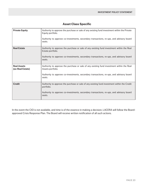| <b>Private Equity</b>                  | Authority to approve the purchase or sale of any existing fund investment within the Private<br>Equity portfolio.<br>Authority to approve co-investments, secondary transactions, re-ups, and advisory board<br>seats. |
|----------------------------------------|------------------------------------------------------------------------------------------------------------------------------------------------------------------------------------------------------------------------|
| <b>Real Estate</b>                     | Authority to approve the purchase or sale of any existing fund investment within the Real<br>Estate portfolio.<br>Authority to approve co-investments, secondary transactions, re-ups, and advisory board<br>seats.    |
| <b>Real Assets</b><br>(ex-Real Estate) | Authority to approve the purchase or sale of any existing fund investment within the Real<br>Assets portfolio.<br>Authority to approve co-investments, secondary transactions, re-ups, and advisory board<br>seats.    |
| <b>Credit</b>                          | Authority to approve the purchase or sale of any existing fund investment within the Credit<br>portfolio.<br>Authority to approve co-investments, secondary transactions, re-ups, and advisory board<br>seats.         |

### **Asset Class Specific**

In the event the CIO is not available, and time is of the essence in making a decision, LACERA will follow the Boardapproved Crisis Response Plan. The Board will receive written notification of all such actions.